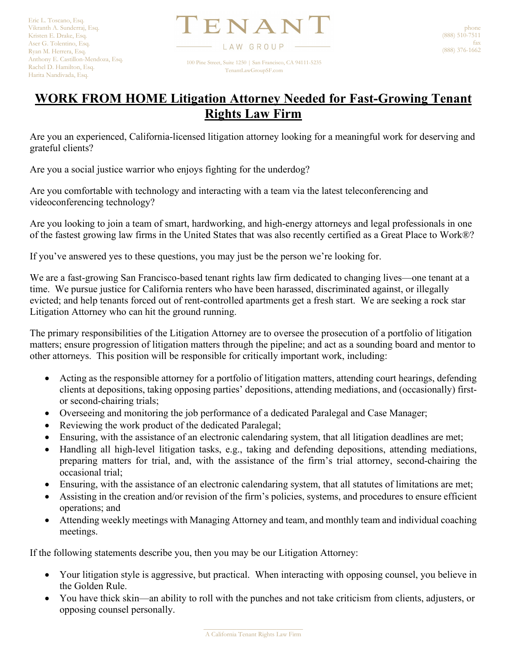TENAN LAW GROUP 100 Pine Street, Suite 1250 | San Francisco, CA 94111-5235

TenantLawGroupSF.com

## **WORK FROM HOME Litigation Attorney Needed for Fast-Growing Tenant Rights Law Firm**

Are you an experienced, California-licensed litigation attorney looking for a meaningful work for deserving and grateful clients?

Are you a social justice warrior who enjoys fighting for the underdog?

Are you comfortable with technology and interacting with a team via the latest teleconferencing and videoconferencing technology?

Are you looking to join a team of smart, hardworking, and high-energy attorneys and legal professionals in one of the fastest growing law firms in the United States that was also recently certified as a Great Place to Work®?

If you've answered yes to these questions, you may just be the person we're looking for.

We are a fast-growing San Francisco-based tenant rights law firm dedicated to changing lives—one tenant at a time. We pursue justice for California renters who have been harassed, discriminated against, or illegally evicted; and help tenants forced out of rent-controlled apartments get a fresh start. We are seeking a rock star Litigation Attorney who can hit the ground running.

The primary responsibilities of the Litigation Attorney are to oversee the prosecution of a portfolio of litigation matters; ensure progression of litigation matters through the pipeline; and act as a sounding board and mentor to other attorneys. This position will be responsible for critically important work, including:

- Acting as the responsible attorney for a portfolio of litigation matters, attending court hearings, defending clients at depositions, taking opposing parties' depositions, attending mediations, and (occasionally) firstor second-chairing trials;
- Overseeing and monitoring the job performance of a dedicated Paralegal and Case Manager;
- Reviewing the work product of the dedicated Paralegal;
- Ensuring, with the assistance of an electronic calendaring system, that all litigation deadlines are met;
- Handling all high-level litigation tasks, e.g., taking and defending depositions, attending mediations, preparing matters for trial, and, with the assistance of the firm's trial attorney, second-chairing the occasional trial;
- Ensuring, with the assistance of an electronic calendaring system, that all statutes of limitations are met;
- Assisting in the creation and/or revision of the firm's policies, systems, and procedures to ensure efficient operations; and
- Attending weekly meetings with Managing Attorney and team, and monthly team and individual coaching meetings.

If the following statements describe you, then you may be our Litigation Attorney:

- Your litigation style is aggressive, but practical. When interacting with opposing counsel, you believe in the Golden Rule.
- You have thick skin—an ability to roll with the punches and not take criticism from clients, adjusters, or opposing counsel personally.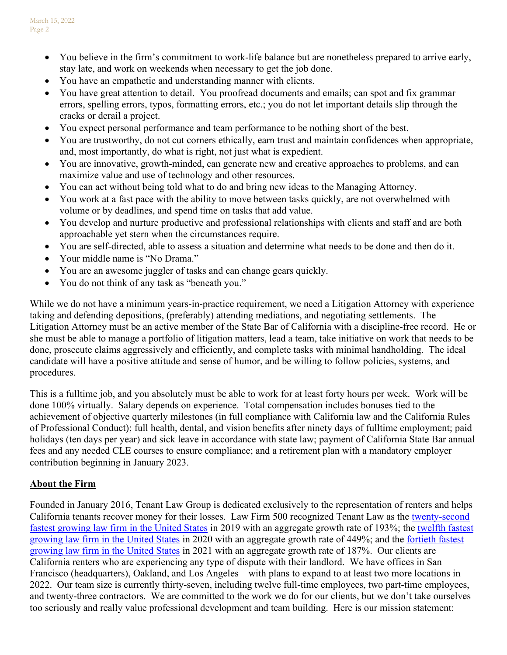- You believe in the firm's commitment to work-life balance but are nonetheless prepared to arrive early, stay late, and work on weekends when necessary to get the job done.
- You have an empathetic and understanding manner with clients.
- You have great attention to detail. You proofread documents and emails; can spot and fix grammar errors, spelling errors, typos, formatting errors, etc.; you do not let important details slip through the cracks or derail a project.
- You expect personal performance and team performance to be nothing short of the best.
- You are trustworthy, do not cut corners ethically, earn trust and maintain confidences when appropriate, and, most importantly, do what is right, not just what is expedient.
- You are innovative, growth-minded, can generate new and creative approaches to problems, and can maximize value and use of technology and other resources.
- You can act without being told what to do and bring new ideas to the Managing Attorney.
- You work at a fast pace with the ability to move between tasks quickly, are not overwhelmed with volume or by deadlines, and spend time on tasks that add value.
- You develop and nurture productive and professional relationships with clients and staff and are both approachable yet stern when the circumstances require.
- You are self-directed, able to assess a situation and determine what needs to be done and then do it.
- Your middle name is "No Drama."
- You are an awesome juggler of tasks and can change gears quickly.
- You do not think of any task as "beneath you."

While we do not have a minimum years-in-practice requirement, we need a Litigation Attorney with experience taking and defending depositions, (preferably) attending mediations, and negotiating settlements. The Litigation Attorney must be an active member of the State Bar of California with a discipline-free record. He or she must be able to manage a portfolio of litigation matters, lead a team, take initiative on work that needs to be done, prosecute claims aggressively and efficiently, and complete tasks with minimal handholding. The ideal candidate will have a positive attitude and sense of humor, and be willing to follow policies, systems, and procedures.

This is a fulltime job, and you absolutely must be able to work for at least forty hours per week. Work will be done 100% virtually. Salary depends on experience. Total compensation includes bonuses tied to the achievement of objective quarterly milestones (in full compliance with California law and the California Rules of Professional Conduct); full health, dental, and vision benefits after ninety days of fulltime employment; paid holidays (ten days per year) and sick leave in accordance with state law; payment of California State Bar annual fees and any needed CLE courses to ensure compliance; and a retirement plan with a mandatory employer contribution beginning in January 2023.

## **About the Firm**

Founded in January 2016, Tenant Law Group is dedicated exclusively to the representation of renters and helps California tenants recover money for their losses. Law Firm 500 recognized Tenant Law as the [twenty-second](https://lawfirm500.com/2019-honoree-tenant-law-group/)  [fastest growing law firm in the United States](https://lawfirm500.com/2019-honoree-tenant-law-group/) in 2019 with an aggregate growth rate of 193%; the [twelfth fastest](https://lawfirm500.com/2020-honoree-tenant-law-group-pc/)  [growing law firm in the United States](https://lawfirm500.com/2020-honoree-tenant-law-group-pc/) in 2020 with an aggregate growth rate of 449%; and the [fortieth fastest](https://lawfirm500.com/2021-honoree-tenant-law-group-pc/)  [growing law firm in the United States](https://lawfirm500.com/2021-honoree-tenant-law-group-pc/) in 2021 with an aggregate growth rate of 187%. Our clients are California renters who are experiencing any type of dispute with their landlord. We have offices in San Francisco (headquarters), Oakland, and Los Angeles—with plans to expand to at least two more locations in 2022. Our team size is currently thirty-seven, including twelve full-time employees, two part-time employees, and twenty-three contractors. We are committed to the work we do for our clients, but we don't take ourselves too seriously and really value professional development and team building. Here is our mission statement: